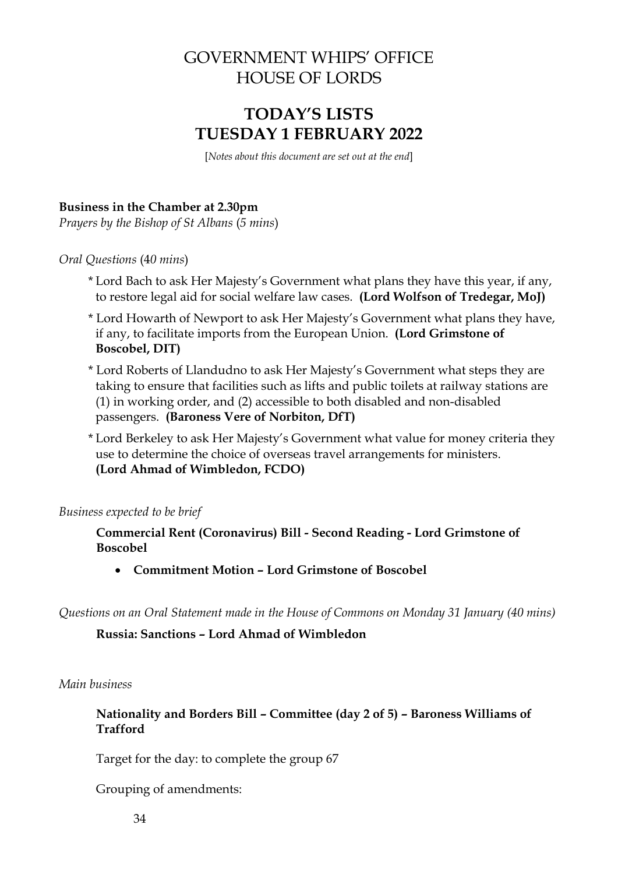# GOVERNMENT WHIPS' OFFICE HOUSE OF LORDS

# **TODAY'S LISTS TUESDAY 1 FEBRUARY 2022**

[*Notes about this document are set out at the end*]

## **Business in the Chamber at 2.30pm**

*Prayers by the Bishop of St Albans* (*5 mins*)

*Oral Questions* (4*0 mins*)

- \* Lord Bach to ask Her Majesty's Government what plans they have this year, if any, to restore legal aid for social welfare law cases. **(Lord Wolfson of Tredegar, MoJ)**
- \* Lord Howarth of Newport to ask Her Majesty's Government what plans they have, if any, to facilitate imports from the European Union. **(Lord Grimstone of Boscobel, DIT)**
- \* Lord Roberts of Llandudno to ask Her Majesty's Government what steps they are taking to ensure that facilities such as lifts and public toilets at railway stations are (1) in working order, and (2) accessible to both disabled and non-disabled passengers. **(Baroness Vere of Norbiton, DfT)**
- \* Lord Berkeley to ask Her Majesty's Government what value for money criteria they use to determine the choice of overseas travel arrangements for ministers. **(Lord Ahmad of Wimbledon, FCDO)**

*Business expected to be brief*

**Commercial Rent (Coronavirus) Bill - Second Reading - Lord Grimstone of Boscobel**

• **Commitment Motion – Lord Grimstone of Boscobel**

*Questions on an Oral Statement made in the House of Commons on Monday 31 January (40 mins)*

### **Russia: Sanctions – Lord Ahmad of Wimbledon**

#### *Main business*

### **Nationality and Borders Bill – Committee (day 2 of 5) – Baroness Williams of Trafford**

Target for the day: to complete the group 67

Grouping of amendments: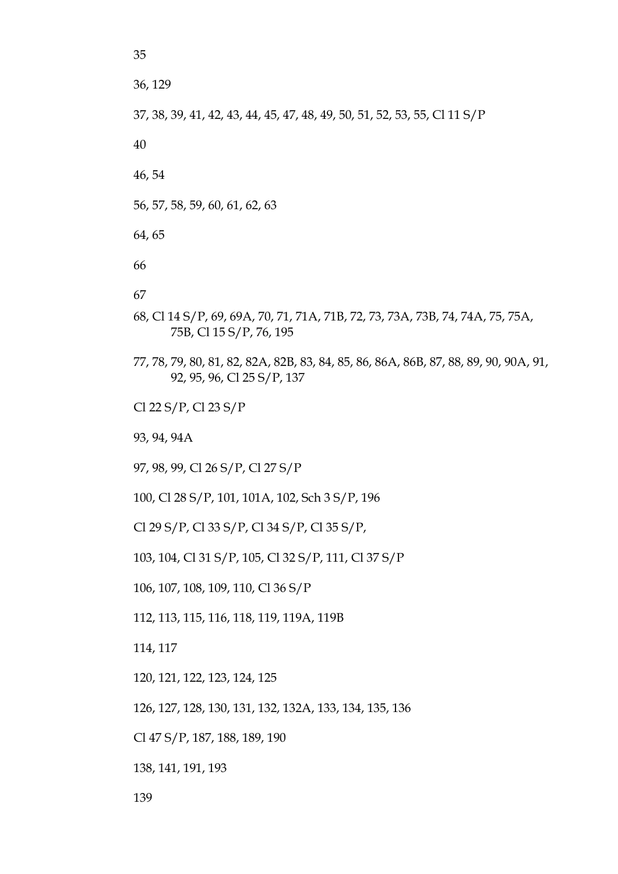36, 129

35

37, 38, 39, 41, 42, 43, 44, 45, 47, 48, 49, 50, 51, 52, 53, 55, Cl 11 S/P

40

46,54

56, 57, 58, 59, 60, 61, 62, 63

64.65

66

67

- 68, Cl 14 S/P, 69, 69A, 70, 71, 71A, 71B, 72, 73, 73A, 73B, 74, 74A, 75, 75A, 75B, Cl 15 S/P, 76, 195
- 77, 78, 79, 80, 81, 82, 82A, 82B, 83, 84, 85, 86, 86A, 86B, 87, 88, 89, 90, 90A, 91, 92, 95, 96, Cl 25 S/P, 137

Cl 22 S/P, Cl 23 S/P

93, 94, 94A

97, 98, 99, Cl 26 S/P, Cl 27 S/P

100, Cl 28 S/P, 101, 101A, 102, Sch 3 S/P, 196

Cl 29 S/P, Cl 33 S/P, Cl 34 S/P, Cl 35 S/P,

103, 104, Cl 31 S/P, 105, Cl 32 S/P, 111, Cl 37 S/P

106, 107, 108, 109, 110, Cl 36 S/P

112, 113, 115, 116, 118, 119, 119A, 119B

114, 117

120, 121, 122, 123, 124, 125

126, 127, 128, 130, 131, 132, 132A, 133, 134, 135, 136

Cl 47 S/P, 187, 188, 189, 190

138, 141, 191, 193

139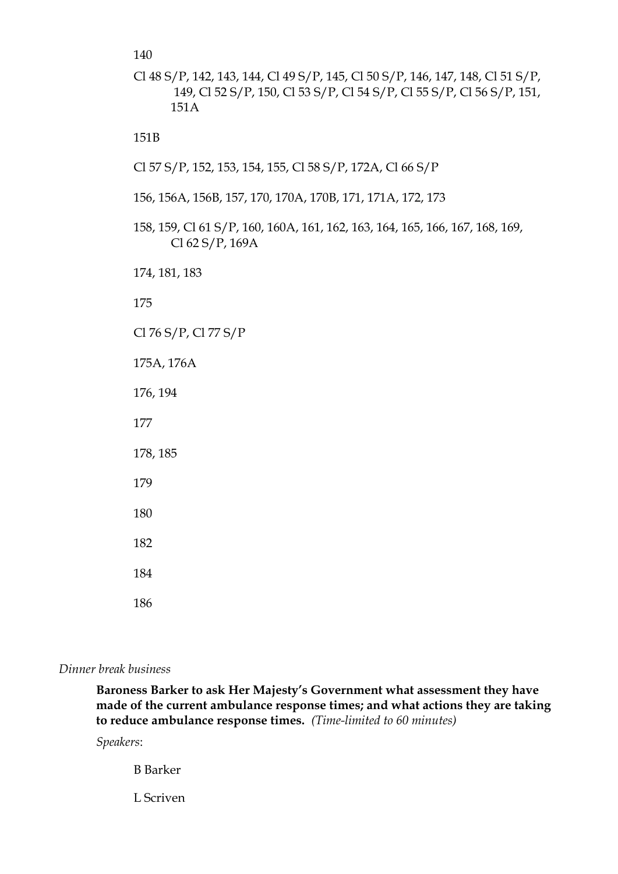140

Cl 48 S/P, 142, 143, 144, Cl 49 S/P, 145, Cl 50 S/P, 146, 147, 148, Cl 51 S/P, 149, Cl 52 S/P, 150, Cl 53 S/P, Cl 54 S/P, Cl 55 S/P, Cl 56 S/P, 151, 151A

151B

- Cl 57 S/P, 152, 153, 154, 155, Cl 58 S/P, 172A, Cl 66 S/P
- 156, 156A, 156B, 157, 170, 170A, 170B, 171, 171A, 172, 173
- 158, 159, Cl 61 S/P, 160, 160A, 161, 162, 163, 164, 165, 166, 167, 168, 169, Cl 62 S/P, 169A

174, 181, 183

175

Cl 76 S/P, Cl 77 S/P

175A, 176A

176, 194

177

178, 185

179

180

182

184

186

#### *Dinner break business*

**Baroness Barker to ask Her Majesty's Government what assessment they have made of the current ambulance response times; and what actions they are taking to reduce ambulance response times.** *(Time-limited to 60 minutes)*

*Speakers*:

B Barker

L Scriven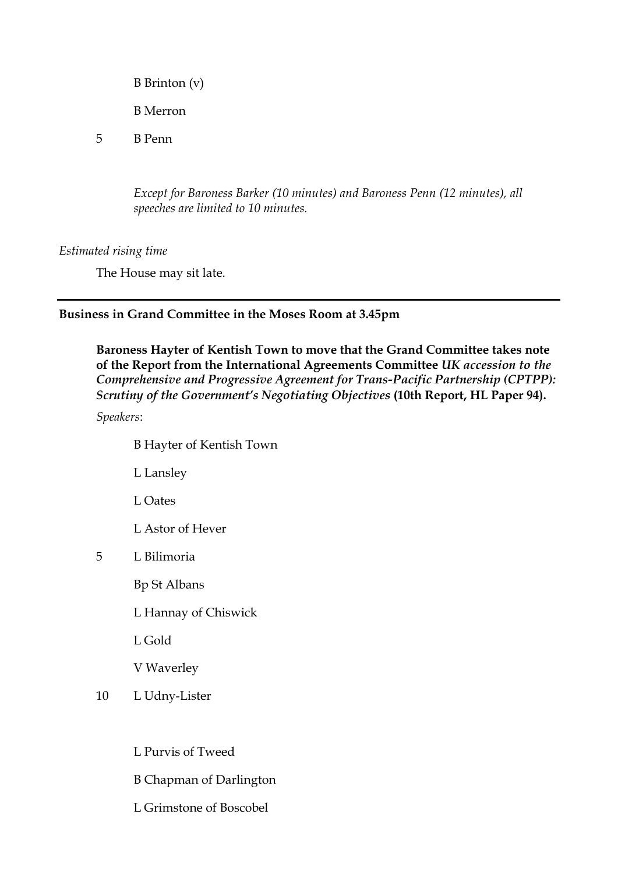- B Brinton (v)
- B Merron
- 5 B Penn

*Except for Baroness Barker (10 minutes) and Baroness Penn (12 minutes), all speeches are limited to 10 minutes.*

*Estimated rising time* 

The House may sit late.

## **Business in Grand Committee in the Moses Room at 3.45pm**

**Baroness Hayter of Kentish Town to move that the Grand Committee takes note of the Report from the International Agreements Committee** *UK accession to the Comprehensive and Progressive Agreement for Trans-Pacific Partnership (CPTPP): Scrutiny of the Government's Negotiating Objectives* **(10th Report, HL Paper 94).**

*Speakers*:

- B Hayter of Kentish Town
- L Lansley
- L Oates
- L Astor of Hever
- 5 L Bilimoria
	- Bp St Albans
	- L Hannay of Chiswick
	- L Gold
	- V Waverley
- 10 L Udny-Lister
	- L Purvis of Tweed
	- B Chapman of Darlington
	- L Grimstone of Boscobel